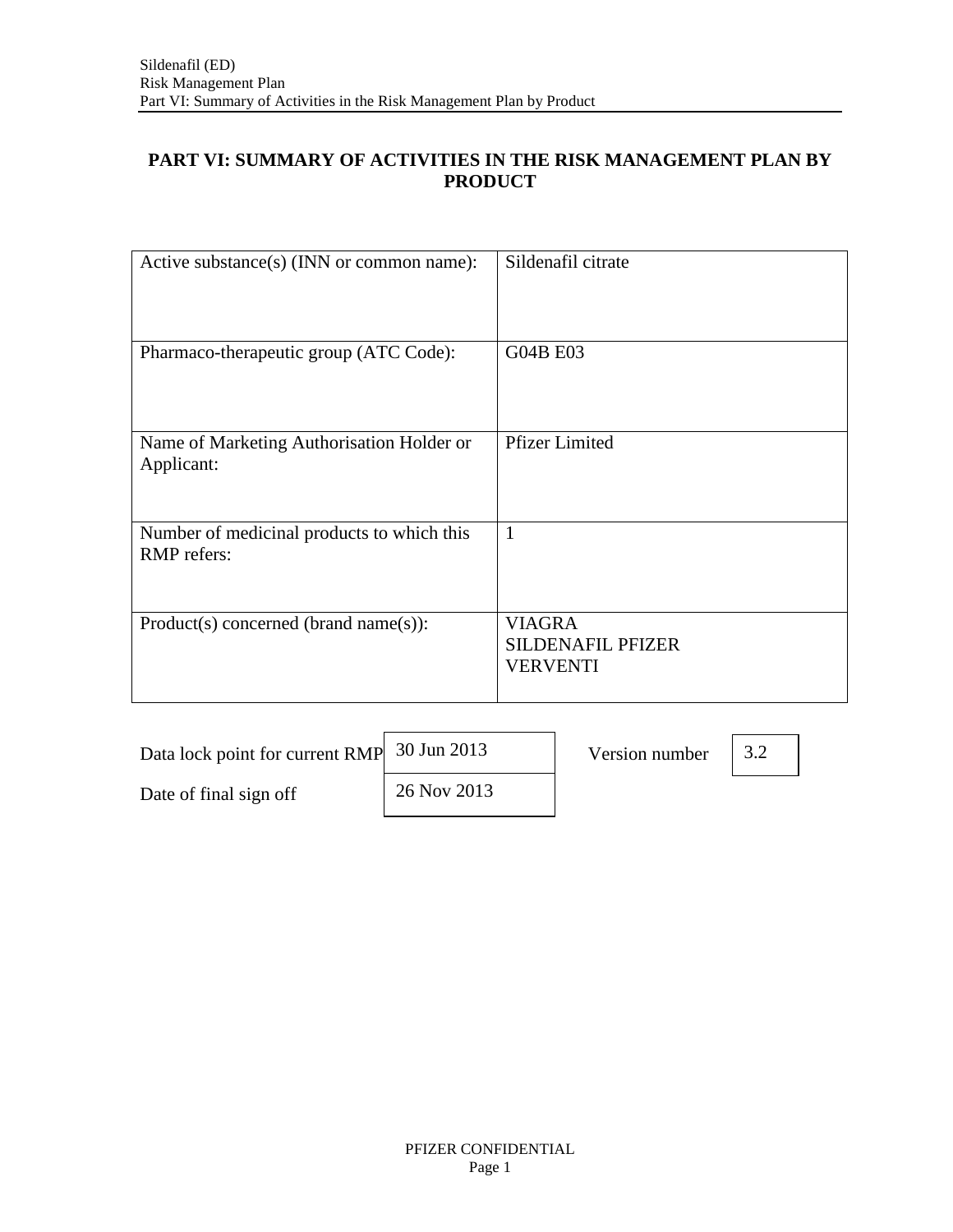# **PART VI: SUMMARY OF ACTIVITIES IN THE RISK MANAGEMENT PLAN BY PRODUCT**

| Active substance(s) (INN or common name):                 | Sildenafil citrate                                           |
|-----------------------------------------------------------|--------------------------------------------------------------|
| Pharmaco-therapeutic group (ATC Code):                    | <b>G04B E03</b>                                              |
| Name of Marketing Authorisation Holder or<br>Applicant:   | <b>Pfizer Limited</b>                                        |
| Number of medicinal products to which this<br>RMP refers: | $\mathbf{1}$                                                 |
| Product(s) concerned (brand name(s)):                     | <b>VIAGRA</b><br><b>SILDENAFIL PFIZER</b><br><b>VERVENTI</b> |

| Data lock point for current RMP 30 Jun 2013 |             | Version number |  |
|---------------------------------------------|-------------|----------------|--|
| Date of final sign off                      | 26 Nov 2013 |                |  |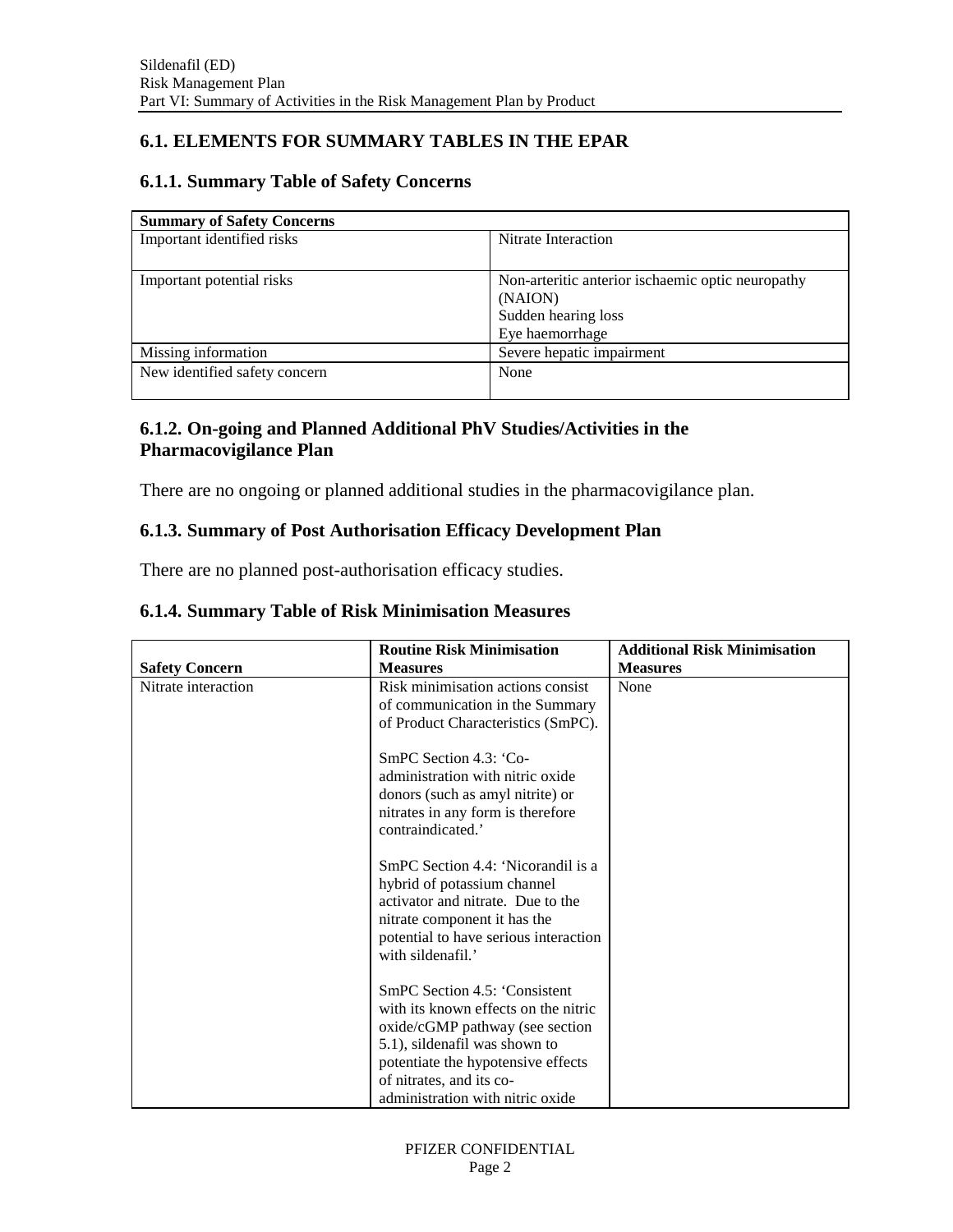# **6.1. ELEMENTS FOR SUMMARY TABLES IN THE EPAR**

#### **6.1.1. Summary Table of Safety Concerns**

| <b>Summary of Safety Concerns</b> |                                                   |
|-----------------------------------|---------------------------------------------------|
| Important identified risks        | Nitrate Interaction                               |
|                                   |                                                   |
| Important potential risks         | Non-arteritic anterior ischaemic optic neuropathy |
|                                   | (NAION)                                           |
|                                   | Sudden hearing loss                               |
|                                   | Eye haemorrhage                                   |
| Missing information               | Severe hepatic impairment                         |
| New identified safety concern     | None                                              |
|                                   |                                                   |

### **6.1.2. On-going and Planned Additional PhV Studies/Activities in the Pharmacovigilance Plan**

There are no ongoing or planned additional studies in the pharmacovigilance plan.

### **6.1.3. Summary of Post Authorisation Efficacy Development Plan**

There are no planned post-authorisation efficacy studies.

|                       | <b>Routine Risk Minimisation</b>                                                                                                                                                                                                                | <b>Additional Risk Minimisation</b> |
|-----------------------|-------------------------------------------------------------------------------------------------------------------------------------------------------------------------------------------------------------------------------------------------|-------------------------------------|
| <b>Safety Concern</b> | <b>Measures</b>                                                                                                                                                                                                                                 | <b>Measures</b>                     |
| Nitrate interaction   | Risk minimisation actions consist<br>of communication in the Summary<br>of Product Characteristics (SmPC).                                                                                                                                      | None                                |
|                       | SmPC Section 4.3: 'Co-<br>administration with nitric oxide<br>donors (such as amyl nitrite) or<br>nitrates in any form is therefore<br>contraindicated.'                                                                                        |                                     |
|                       | SmPC Section 4.4: 'Nicorandil is a<br>hybrid of potassium channel<br>activator and nitrate. Due to the<br>nitrate component it has the<br>potential to have serious interaction<br>with sildenafil.'                                            |                                     |
|                       | SmPC Section 4.5: 'Consistent<br>with its known effects on the nitric<br>oxide/cGMP pathway (see section<br>5.1), sildenafil was shown to<br>potentiate the hypotensive effects<br>of nitrates, and its co-<br>administration with nitric oxide |                                     |

### **6.1.4. Summary Table of Risk Minimisation Measures**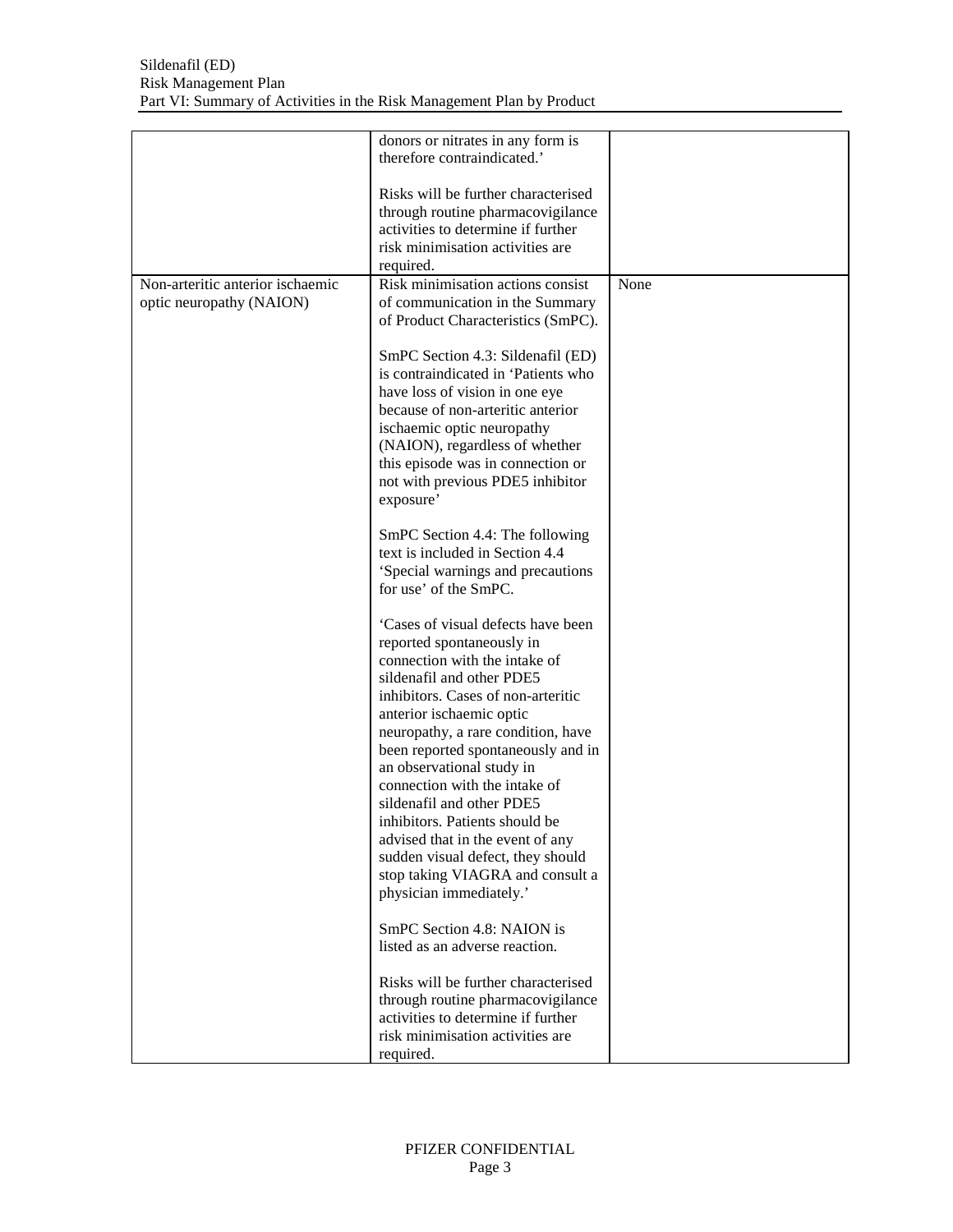|                                  | donors or nitrates in any form is<br>therefore contraindicated.'                                                                                                                                                                                                                                      |      |
|----------------------------------|-------------------------------------------------------------------------------------------------------------------------------------------------------------------------------------------------------------------------------------------------------------------------------------------------------|------|
| Non-arteritic anterior ischaemic | Risks will be further characterised<br>through routine pharmacovigilance<br>activities to determine if further<br>risk minimisation activities are<br>required.<br>Risk minimisation actions consist                                                                                                  |      |
| optic neuropathy (NAION)         | of communication in the Summary                                                                                                                                                                                                                                                                       | None |
|                                  | of Product Characteristics (SmPC).                                                                                                                                                                                                                                                                    |      |
|                                  | SmPC Section 4.3: Sildenafil (ED)<br>is contraindicated in 'Patients who<br>have loss of vision in one eye<br>because of non-arteritic anterior<br>ischaemic optic neuropathy<br>(NAION), regardless of whether<br>this episode was in connection or<br>not with previous PDE5 inhibitor<br>exposure' |      |
|                                  | SmPC Section 4.4: The following<br>text is included in Section 4.4<br>'Special warnings and precautions<br>for use' of the SmPC.                                                                                                                                                                      |      |
|                                  | 'Cases of visual defects have been<br>reported spontaneously in<br>connection with the intake of<br>sildenafil and other PDE5<br>inhibitors. Cases of non-arteritic<br>anterior ischaemic optic<br>neuropathy, a rare condition, have                                                                 |      |
|                                  | been reported spontaneously and in<br>an observational study in<br>connection with the intake of<br>sildenafil and other PDE5                                                                                                                                                                         |      |
|                                  | inhibitors. Patients should be<br>advised that in the event of any<br>sudden visual defect, they should<br>stop taking VIAGRA and consult a<br>physician immediately.'                                                                                                                                |      |
|                                  | SmPC Section 4.8: NAION is<br>listed as an adverse reaction.                                                                                                                                                                                                                                          |      |
|                                  | Risks will be further characterised<br>through routine pharmacovigilance<br>activities to determine if further<br>risk minimisation activities are<br>required.                                                                                                                                       |      |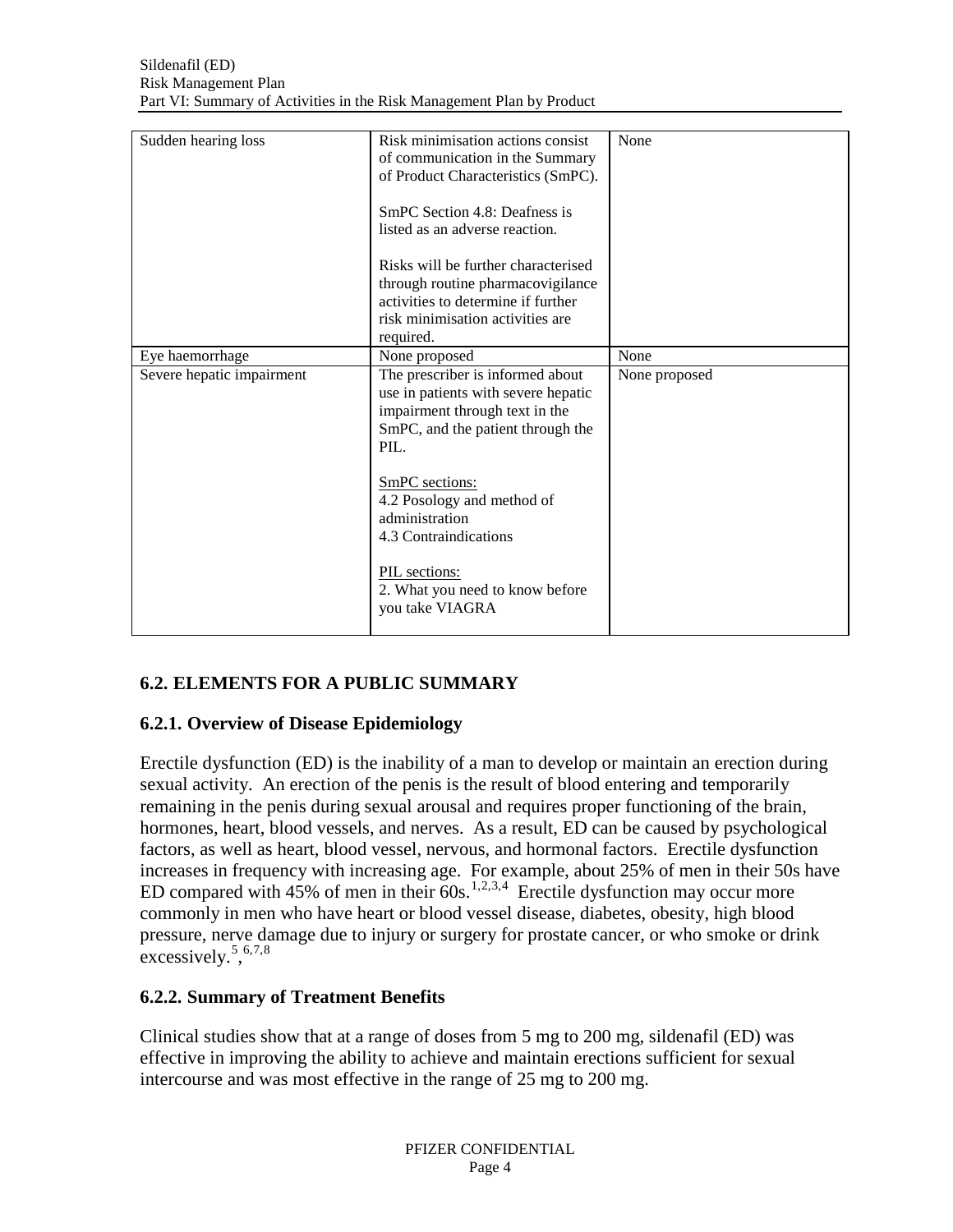| Sudden hearing loss       | Risk minimisation actions consist<br>of communication in the Summary<br>of Product Characteristics (SmPC).<br>SmPC Section 4.8: Deafness is<br>listed as an adverse reaction.<br>Risks will be further characterised<br>through routine pharmacovigilance<br>activities to determine if further<br>risk minimisation activities are<br>required. | None          |
|---------------------------|--------------------------------------------------------------------------------------------------------------------------------------------------------------------------------------------------------------------------------------------------------------------------------------------------------------------------------------------------|---------------|
| Eye haemorrhage           | None proposed                                                                                                                                                                                                                                                                                                                                    | None          |
| Severe hepatic impairment | The prescriber is informed about<br>use in patients with severe hepatic<br>impairment through text in the<br>SmPC, and the patient through the<br>PIL.<br>SmPC sections:<br>4.2 Posology and method of<br>administration<br>4.3 Contraindications<br>PIL sections:<br>2. What you need to know before<br>you take VIAGRA                         | None proposed |

# **6.2. ELEMENTS FOR A PUBLIC SUMMARY**

## **6.2.1. Overview of Disease Epidemiology**

Erectile dysfunction (ED) is the inability of a man to develop or maintain an erection during sexual activity. An erection of the penis is the result of blood entering and temporarily remaining in the penis during sexual arousal and requires proper functioning of the brain, hormones, heart, blood vessels, and nerves. As a result, ED can be caused by psychological factors, as well as heart, blood vessel, nervous, and hormonal factors. Erectile dysfunction increases in frequency with increasing age. For example, about 25% of men in their 50s have ED compared with  $45\%$  $45\%$  of men in their  $60s$ .<sup>[1,](#page-6-0)[2,](#page-6-1)[3](#page-6-2),4</sup> Erectile dysfunction may occur more commonly in men who have heart or blood vessel disease, diabetes, obesity, high blood pressure, nerve damage due to injury or surgery for prostate cancer, or who smoke or drink excessively.<sup>[5](#page-6-4)</sup>,<sup>[6](#page-6-5),[7](#page-6-6),[8](#page-6-7)</sup>

# **6.2.2. Summary of Treatment Benefits**

Clinical studies show that at a range of doses from 5 mg to 200 mg, sildenafil (ED) was effective in improving the ability to achieve and maintain erections sufficient for sexual intercourse and was most effective in the range of 25 mg to 200 mg.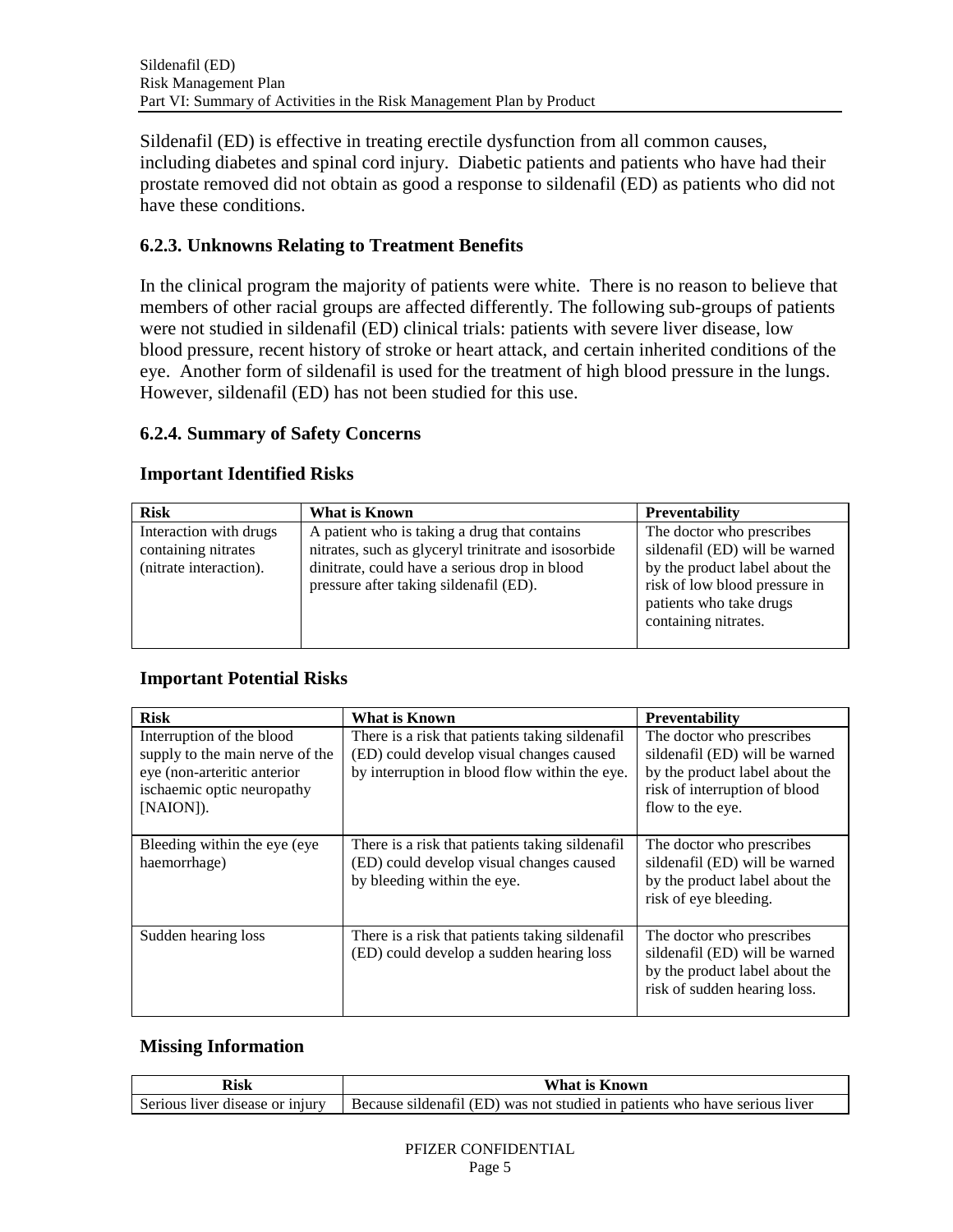Sildenafil (ED) is effective in treating erectile dysfunction from all common causes, including diabetes and spinal cord injury. Diabetic patients and patients who have had their prostate removed did not obtain as good a response to sildenafil (ED) as patients who did not have these conditions.

## **6.2.3. Unknowns Relating to Treatment Benefits**

In the clinical program the majority of patients were white. There is no reason to believe that members of other racial groups are affected differently. The following sub-groups of patients were not studied in sildenafil (ED) clinical trials: patients with severe liver disease, low blood pressure, recent history of stroke or heart attack, and certain inherited conditions of the eye. Another form of sildenafil is used for the treatment of high blood pressure in the lungs. However, sildenafil (ED) has not been studied for this use.

## **6.2.4. Summary of Safety Concerns**

## **Important Identified Risks**

| <b>Risk</b>                                                             | What is Known                                                                                                                                                                                   | <b>Preventability</b>                                                                                                                                                             |
|-------------------------------------------------------------------------|-------------------------------------------------------------------------------------------------------------------------------------------------------------------------------------------------|-----------------------------------------------------------------------------------------------------------------------------------------------------------------------------------|
| Interaction with drugs<br>containing nitrates<br>(nitrate interaction). | A patient who is taking a drug that contains<br>nitrates, such as glyceryl trinitrate and isosorbide<br>dinitrate, could have a serious drop in blood<br>pressure after taking sildenafil (ED). | The doctor who prescribes<br>sildenafil (ED) will be warned<br>by the product label about the<br>risk of low blood pressure in<br>patients who take drugs<br>containing nitrates. |

## **Important Potential Risks**

| <b>Risk</b>                                                                                                                            | <b>What is Known</b>                                                                                                                          | <b>Preventability</b>                                                                                                                              |
|----------------------------------------------------------------------------------------------------------------------------------------|-----------------------------------------------------------------------------------------------------------------------------------------------|----------------------------------------------------------------------------------------------------------------------------------------------------|
| Interruption of the blood<br>supply to the main nerve of the<br>eye (non-arteritic anterior<br>ischaemic optic neuropathy<br>[NAION]). | There is a risk that patients taking sildenafil.<br>(ED) could develop visual changes caused<br>by interruption in blood flow within the eye. | The doctor who prescribes<br>sildenafil (ED) will be warned<br>by the product label about the<br>risk of interruption of blood<br>flow to the eye. |
| Bleeding within the eye (eye)<br>haemorrhage)                                                                                          | There is a risk that patients taking sildenafil.<br>(ED) could develop visual changes caused<br>by bleeding within the eye.                   | The doctor who prescribes<br>sildenafil (ED) will be warned<br>by the product label about the<br>risk of eye bleeding.                             |
| Sudden hearing loss                                                                                                                    | There is a risk that patients taking sildenafil<br>(ED) could develop a sudden hearing loss                                                   | The doctor who prescribes<br>sildenafil (ED) will be warned<br>by the product label about the<br>risk of sudden hearing loss.                      |

## **Missing Information**

| Risk                            | What is Known                                                              |  |
|---------------------------------|----------------------------------------------------------------------------|--|
| Serious liver disease or injury | Because sildenafil (ED) was not studied in patients who have serious liver |  |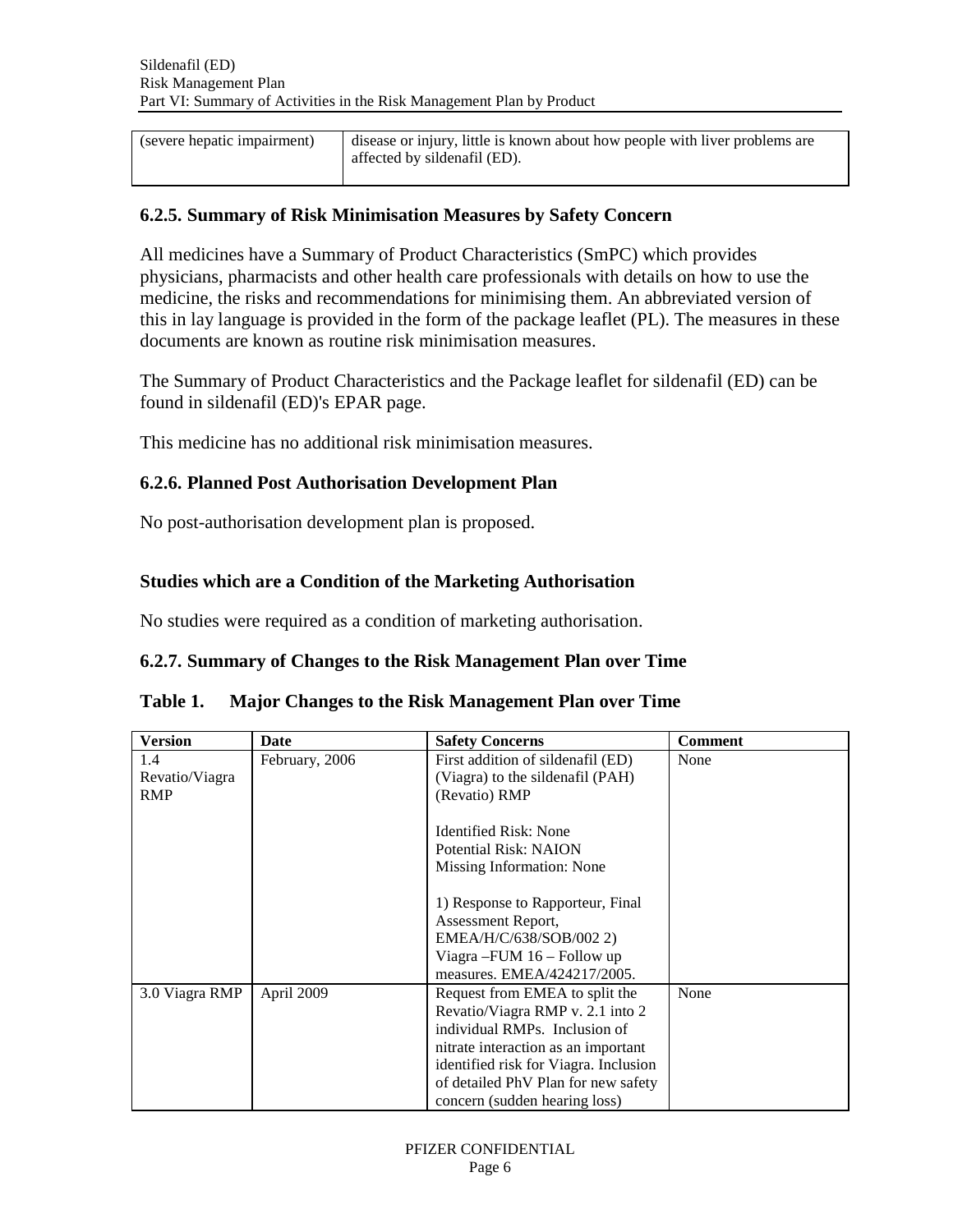| (severe hepatic impairment) | disease or injury, little is known about how people with liver problems are |
|-----------------------------|-----------------------------------------------------------------------------|
|                             | affected by sildenafil (ED).                                                |

#### **6.2.5. Summary of Risk Minimisation Measures by Safety Concern**

All medicines have a Summary of Product Characteristics (SmPC) which provides physicians, pharmacists and other health care professionals with details on how to use the medicine, the risks and recommendations for minimising them. An abbreviated version of this in lay language is provided in the form of the package leaflet (PL). The measures in these documents are known as routine risk minimisation measures.

The Summary of Product Characteristics and the Package leaflet for sildenafil (ED) can be found in sildenafil (ED)'s EPAR page.

This medicine has no additional risk minimisation measures.

#### **6.2.6. Planned Post Authorisation Development Plan**

No post-authorisation development plan is proposed.

### **Studies which are a Condition of the Marketing Authorisation**

No studies were required as a condition of marketing authorisation.

#### **6.2.7. Summary of Changes to the Risk Management Plan over Time**

#### **Table 1. Major Changes to the Risk Management Plan over Time**

| <b>Version</b> | <b>Date</b>    | <b>Safety Concerns</b>                | <b>Comment</b> |
|----------------|----------------|---------------------------------------|----------------|
| 1.4            | February, 2006 | First addition of sildenafil (ED)     | None           |
| Revatio/Viagra |                | (Viagra) to the sildenafil (PAH)      |                |
| <b>RMP</b>     |                | (Revatio) RMP                         |                |
|                |                |                                       |                |
|                |                | <b>Identified Risk: None</b>          |                |
|                |                | Potential Risk: NAION                 |                |
|                |                | Missing Information: None             |                |
|                |                |                                       |                |
|                |                | 1) Response to Rapporteur, Final      |                |
|                |                | Assessment Report,                    |                |
|                |                | EMEA/H/C/638/SOB/002 2)               |                |
|                |                | Viagra – FUM $16$ – Follow up         |                |
|                |                | measures. EMEA/424217/2005.           |                |
| 3.0 Viagra RMP | April 2009     | Request from EMEA to split the        | None           |
|                |                | Revatio/Viagra RMP v. 2.1 into 2      |                |
|                |                | individual RMPs. Inclusion of         |                |
|                |                | nitrate interaction as an important   |                |
|                |                | identified risk for Viagra. Inclusion |                |
|                |                | of detailed PhV Plan for new safety   |                |
|                |                | concern (sudden hearing loss)         |                |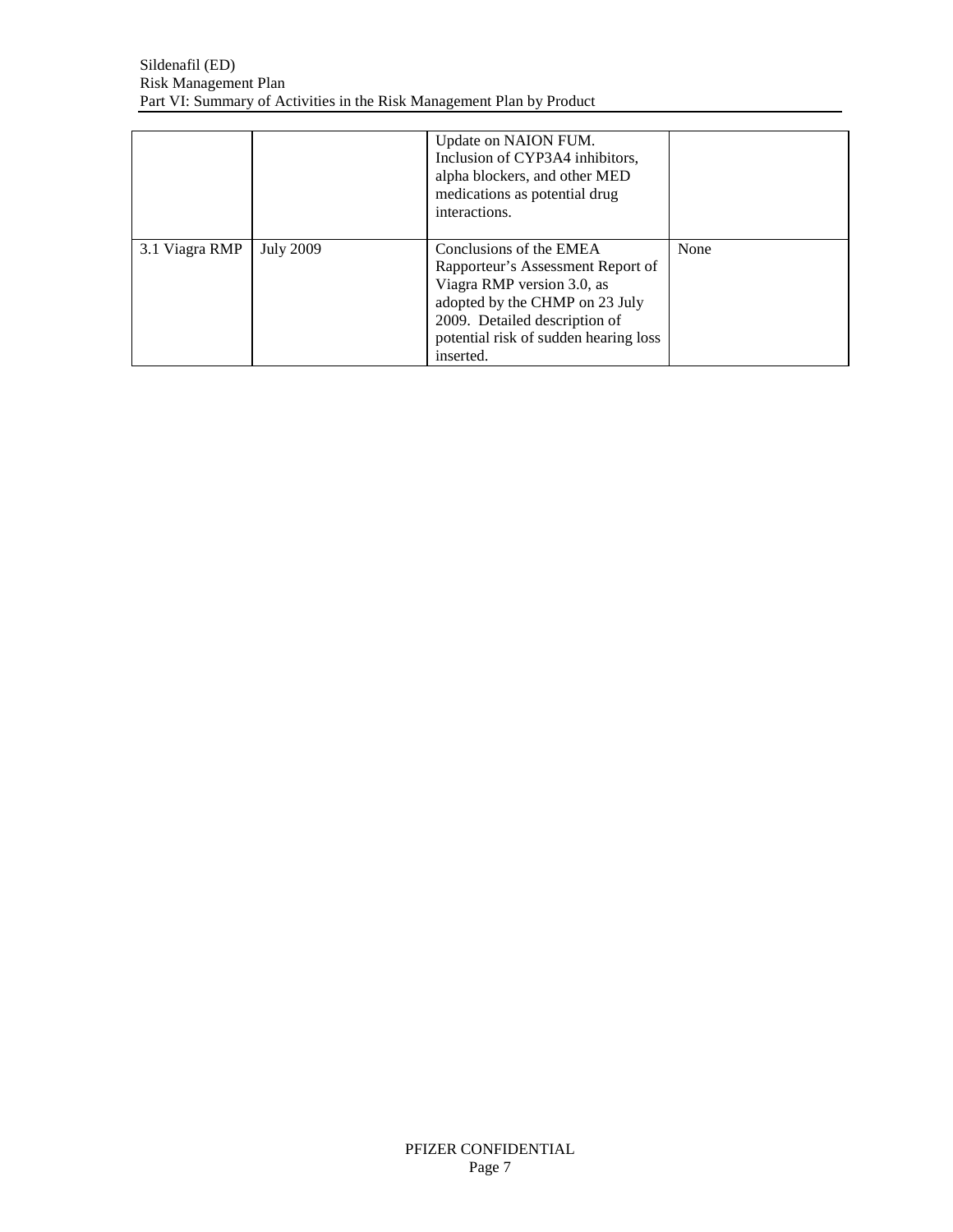<span id="page-6-7"></span><span id="page-6-6"></span><span id="page-6-5"></span><span id="page-6-4"></span><span id="page-6-3"></span><span id="page-6-2"></span><span id="page-6-1"></span><span id="page-6-0"></span>

|                |                  | Update on NAION FUM.<br>Inclusion of CYP3A4 inhibitors,<br>alpha blockers, and other MED<br>medications as potential drug<br>interactions.                                                                          |      |
|----------------|------------------|---------------------------------------------------------------------------------------------------------------------------------------------------------------------------------------------------------------------|------|
| 3.1 Viagra RMP | <b>July 2009</b> | Conclusions of the EMEA<br>Rapporteur's Assessment Report of<br>Viagra RMP version 3.0, as<br>adopted by the CHMP on 23 July<br>2009. Detailed description of<br>potential risk of sudden hearing loss<br>inserted. | None |